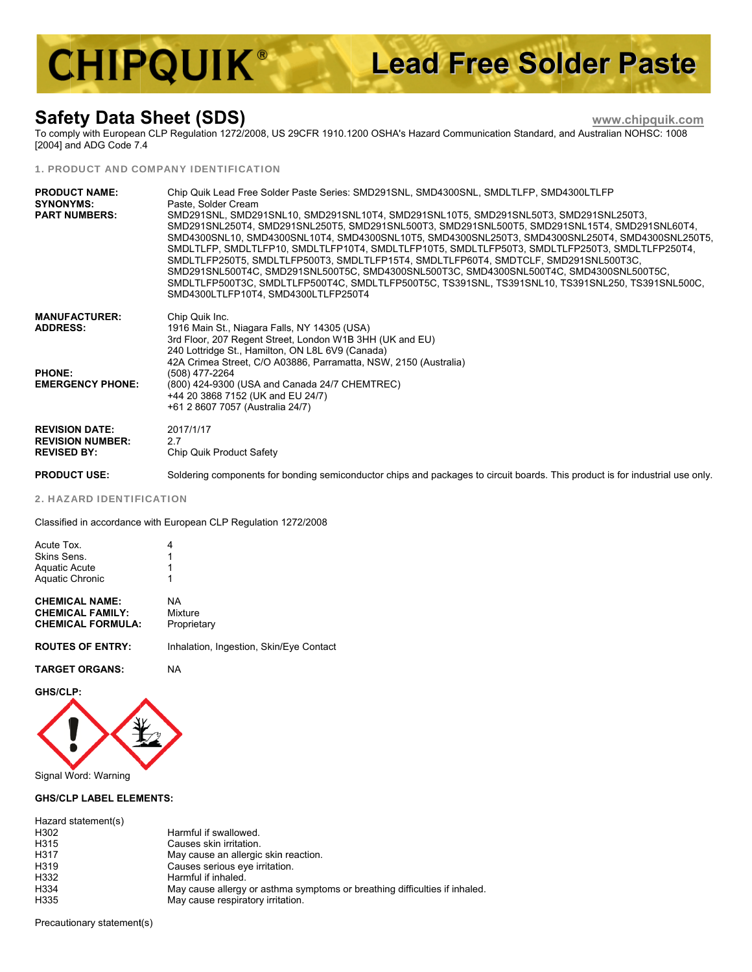# **CHIPQUIK® Lead Free Solder Paste**

#### **Safe ety Data Sheet (S SDS)**

 **www.c hipquik.com m**

To comp [2004] a nd ADG Code 7 .4 ply with Europea n CLP Regulatio on 1272/2008, US S 29CFR 1910.1 200 OSHA's Haz zard Communica ation Standard, a and Australian N OHSC: 1008

#### 1. PRODUCT AND COMPANY IDENTIFICATION

| <b>PRODUCT NAME:</b><br><b>SYNONYMS:</b><br><b>PART NUMBERS:</b>       | Chip Quik Lead Free Solder Paste Series: SMD291SNL, SMD4300SNL, SMDLTLFP, SMD4300LTLFP<br>Paste. Solder Cream<br>SMD291SNL, SMD291SNL10, SMD291SNL10T4, SMD291SNL10T5, SMD291SNL50T3, SMD291SNL250T3,<br>SMD291SNL250T4, SMD291SNL250T5, SMD291SNL500T3, SMD291SNL500T5, SMD291SNL15T4, SMD291SNL60T4,<br>SMD4300SNL10, SMD4300SNL10T4, SMD4300SNL10T5, SMD4300SNL250T3, SMD4300SNL250T4, SMD4300SNL250T5,<br>SMDLTLFP, SMDLTLFP10, SMDLTLFP10T4, SMDLTLFP10T5, SMDLTLFP50T3, SMDLTLFP250T3, SMDLTLFP250T4,<br>SMDLTLFP250T5, SMDLTLFP500T3, SMDLTLFP15T4, SMDLTLFP60T4, SMDTCLF, SMD291SNL500T3C,<br>SMD291SNL500T4C. SMD291SNL500T5C. SMD4300SNL500T3C. SMD4300SNL500T4C. SMD4300SNL500T5C.<br>SMDLTLFP500T3C, SMDLTLFP500T4C, SMDLTLFP500T5C, TS391SNL, TS391SNL10, TS391SNL250, TS391SNL500C,<br>SMD4300LTLFP10T4, SMD4300LTLFP250T4 |
|------------------------------------------------------------------------|------------------------------------------------------------------------------------------------------------------------------------------------------------------------------------------------------------------------------------------------------------------------------------------------------------------------------------------------------------------------------------------------------------------------------------------------------------------------------------------------------------------------------------------------------------------------------------------------------------------------------------------------------------------------------------------------------------------------------------------------------------------------------------------------------------------------------------------|
| <b>MANUFACTURER:</b><br><b>ADDRESS:</b>                                | Chip Quik Inc.<br>1916 Main St., Niagara Falls, NY 14305 (USA)<br>3rd Floor, 207 Regent Street, London W1B 3HH (UK and EU)<br>240 Lottridge St., Hamilton, ON L8L 6V9 (Canada)<br>42A Crimea Street, C/O A03886, Parramatta, NSW, 2150 (Australia)                                                                                                                                                                                                                                                                                                                                                                                                                                                                                                                                                                                       |
| <b>PHONE:</b><br><b>EMERGENCY PHONE:</b>                               | (508) 477-2264<br>(800) 424-9300 (USA and Canada 24/7 CHEMTREC)<br>+44 20 3868 7152 (UK and EU 24/7)<br>+61 2 8607 7057 (Australia 24/7)                                                                                                                                                                                                                                                                                                                                                                                                                                                                                                                                                                                                                                                                                                 |
| <b>REVISION DATE:</b><br><b>REVISION NUMBER:</b><br><b>REVISED BY:</b> | 2017/1/17<br>27<br>Chip Quik Product Safety                                                                                                                                                                                                                                                                                                                                                                                                                                                                                                                                                                                                                                                                                                                                                                                              |
| <b>PRODUCT USE:</b>                                                    | Soldering components for bonding semiconductor chips and packages to circuit boards. This product is for industrial use only.                                                                                                                                                                                                                                                                                                                                                                                                                                                                                                                                                                                                                                                                                                            |

2. HAZ ZARD IDENTIF FICATION

Classified in accordance with European CLP Regulation 1272/2008

| Acute Tox.<br>Skins Sens.<br><b>Aquatic Acute</b><br><b>Aquatic Chronic</b>  | 4<br>1<br>1                             |
|------------------------------------------------------------------------------|-----------------------------------------|
| <b>CHEMICAL NAME:</b><br><b>CHEMICAL FAMILY:</b><br><b>CHEMICAL FORMULA:</b> | NA<br>Mixture<br>Proprietary            |
| <b>ROUTES OF ENTRY:</b>                                                      | Inhalation, Ingestion, Skin/Eye Contact |
| <b>TARGET ORGANS:</b>                                                        | ΝA                                      |

**GHS/CL LP:** 



#### **GHS/CL LP LABEL ELEM MENTS:**

| Harmful if swallowed.                                                      |
|----------------------------------------------------------------------------|
| Causes skin irritation.                                                    |
| May cause an allergic skin reaction.                                       |
| Causes serious eye irritation.                                             |
| Harmful if inhaled.                                                        |
| May cause allergy or asthma symptoms or breathing difficulties if inhaled. |
| May cause respiratory irritation.                                          |
|                                                                            |

Precautionary statement(s)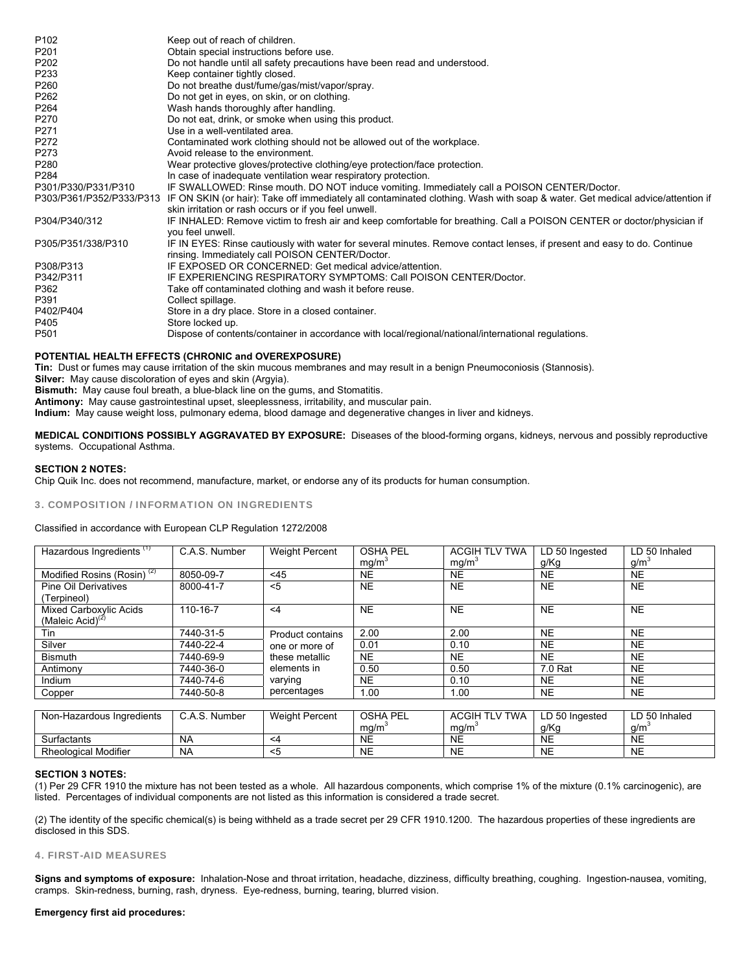| P <sub>102</sub>         | Keep out of reach of children.                                                                                                                                             |
|--------------------------|----------------------------------------------------------------------------------------------------------------------------------------------------------------------------|
| P201                     | Obtain special instructions before use.                                                                                                                                    |
| P202                     | Do not handle until all safety precautions have been read and understood.                                                                                                  |
| P233                     | Keep container tightly closed.                                                                                                                                             |
| P260                     | Do not breathe dust/fume/gas/mist/vapor/spray.                                                                                                                             |
| P262                     | Do not get in eyes, on skin, or on clothing.                                                                                                                               |
| P264                     | Wash hands thoroughly after handling.                                                                                                                                      |
| P270                     | Do not eat, drink, or smoke when using this product.                                                                                                                       |
| P271                     | Use in a well-ventilated area.                                                                                                                                             |
| P272                     | Contaminated work clothing should not be allowed out of the workplace.                                                                                                     |
| P273                     | Avoid release to the environment.                                                                                                                                          |
| P280                     | Wear protective gloves/protective clothing/eye protection/face protection.                                                                                                 |
| P284                     | In case of inadequate ventilation wear respiratory protection.                                                                                                             |
| P301/P330/P331/P310      | IF SWALLOWED: Rinse mouth. DO NOT induce vomiting. Immediately call a POISON CENTER/Doctor.                                                                                |
| P303/P361/P352/P333/P313 | IF ON SKIN (or hair): Take off immediately all contaminated clothing. Wash with soap & water. Get medical advice/attention if                                              |
|                          | skin irritation or rash occurs or if you feel unwell.                                                                                                                      |
| P304/P340/312            | IF INHALED: Remove victim to fresh air and keep comfortable for breathing. Call a POISON CENTER or doctor/physician if<br>you feel unwell.                                 |
| P305/P351/338/P310       | IF IN EYES: Rinse cautiously with water for several minutes. Remove contact lenses, if present and easy to do. Continue<br>rinsing. Immediately call POISON CENTER/Doctor. |
| P308/P313                | IF EXPOSED OR CONCERNED: Get medical advice/attention.                                                                                                                     |
| P342/P311                | IF EXPERIENCING RESPIRATORY SYMPTOMS: Call POISON CENTER/Doctor.                                                                                                           |
| P362                     | Take off contaminated clothing and wash it before reuse.                                                                                                                   |
| P391                     | Collect spillage.                                                                                                                                                          |
| P402/P404                | Store in a dry place. Store in a closed container.                                                                                                                         |
| P405                     | Store locked up.                                                                                                                                                           |
| P501                     | Dispose of contents/container in accordance with local/regional/national/international regulations.                                                                        |
|                          |                                                                                                                                                                            |

#### **POTENTIAL HEALTH EFFECTS (CHRONIC and OVEREXPOSURE)**

**Tin:** Dust or fumes may cause irritation of the skin mucous membranes and may result in a benign Pneumoconiosis (Stannosis).

**Silver:** May cause discoloration of eyes and skin (Argyia).

**Bismuth:** May cause foul breath, a blue-black line on the gums, and Stomatitis.

**Antimony:** May cause gastrointestinal upset, sleeplessness, irritability, and muscular pain.

**Indium:** May cause weight loss, pulmonary edema, blood damage and degenerative changes in liver and kidneys.

**MEDICAL CONDITIONS POSSIBLY AGGRAVATED BY EXPOSURE:** Diseases of the blood-forming organs, kidneys, nervous and possibly reproductive systems. Occupational Asthma.

#### **SECTION 2 NOTES:**

Chip Quik Inc. does not recommend, manufacture, market, or endorse any of its products for human consumption.

#### 3. COMPOSITION / INFORMATION ON INGREDIENTS

### Classified in accordance with European CLP Regulation 1272/2008

| Hazardous Ingredients <sup>(1)</sup>   | C.A.S. Number | <b>Weight Percent</b> | <b>OSHA PEL</b><br>mg/m <sup>3</sup> | <b>ACGIH TLV TWA</b><br>mg/m <sup>3</sup> | LD 50 Ingested<br>g/Kg | LD 50 Inhaled<br>g/m |
|----------------------------------------|---------------|-----------------------|--------------------------------------|-------------------------------------------|------------------------|----------------------|
| Modified Rosins (Rosin) <sup>(2)</sup> | 8050-09-7     | < 45                  | <b>NE</b>                            | NE                                        | <b>NE</b>              | <b>NE</b>            |
| Pine Oil Derivatives                   | 8000-41-7     | < 5                   | <b>NE</b>                            | <b>NE</b>                                 | <b>NE</b>              | <b>NE</b>            |
| (Terpineol)                            |               |                       |                                      |                                           |                        |                      |
| Mixed Carboxylic Acids                 | 110-16-7      | $\leq 4$              | <b>NE</b>                            | <b>NE</b>                                 | <b>NE</b>              | <b>NE</b>            |
| (Maleic Acid) $(2)$                    |               |                       |                                      |                                           |                        |                      |
| Tin                                    | 7440-31-5     | Product contains      | 2.00                                 | 2.00                                      | <b>NE</b>              | <b>NE</b>            |
| Silver                                 | 7440-22-4     | one or more of        | 0.01                                 | 0.10                                      | <b>NE</b>              | <b>NE</b>            |
| <b>Bismuth</b>                         | 7440-69-9     | these metallic        | <b>NE</b>                            | <b>NE</b>                                 | <b>NE</b>              | <b>NE</b>            |
| Antimony                               | 7440-36-0     | elements in           | 0.50                                 | 0.50                                      | 7.0 Rat                | <b>NE</b>            |
| Indium                                 | 7440-74-6     | varying               | <b>NE</b>                            | 0.10                                      | NE.                    | <b>NE</b>            |
| Copper                                 | 7440-50-8     | percentages           | 1.00                                 | 1.00                                      | <b>NE</b>              | <b>NE</b>            |

| Non-Hazardous Ingredients   | C.A.S. Number | <b>Weight Percent</b> | OSHA PEL  | ACGIH<br>I TLV TWA | LD 50 Ingested | LD 50 Inhaled |
|-----------------------------|---------------|-----------------------|-----------|--------------------|----------------|---------------|
|                             |               |                       | mq/m      | mg/m               | g/Kg           | a/m`          |
| Surfactants                 | <b>NA</b>     | <4                    | <b>NE</b> | <b>NE</b>          | <b>NE</b>      | <b>NE</b>     |
| <b>Rheological Modifier</b> | <b>NA</b>     | <'                    | <b>NE</b> | <b>NE</b>          | <b>NE</b>      | <b>NE</b>     |

#### **SECTION 3 NOTES:**

(1) Per 29 CFR 1910 the mixture has not been tested as a whole. All hazardous components, which comprise 1% of the mixture (0.1% carcinogenic), are listed. Percentages of individual components are not listed as this information is considered a trade secret.

(2) The identity of the specific chemical(s) is being withheld as a trade secret per 29 CFR 1910.1200. The hazardous properties of these ingredients are disclosed in this SDS.

#### 4. FIRST-AID MEASURES

**Signs and symptoms of exposure:** Inhalation-Nose and throat irritation, headache, dizziness, difficulty breathing, coughing. Ingestion-nausea, vomiting, cramps. Skin-redness, burning, rash, dryness. Eye-redness, burning, tearing, blurred vision.

#### **Emergency first aid procedures:**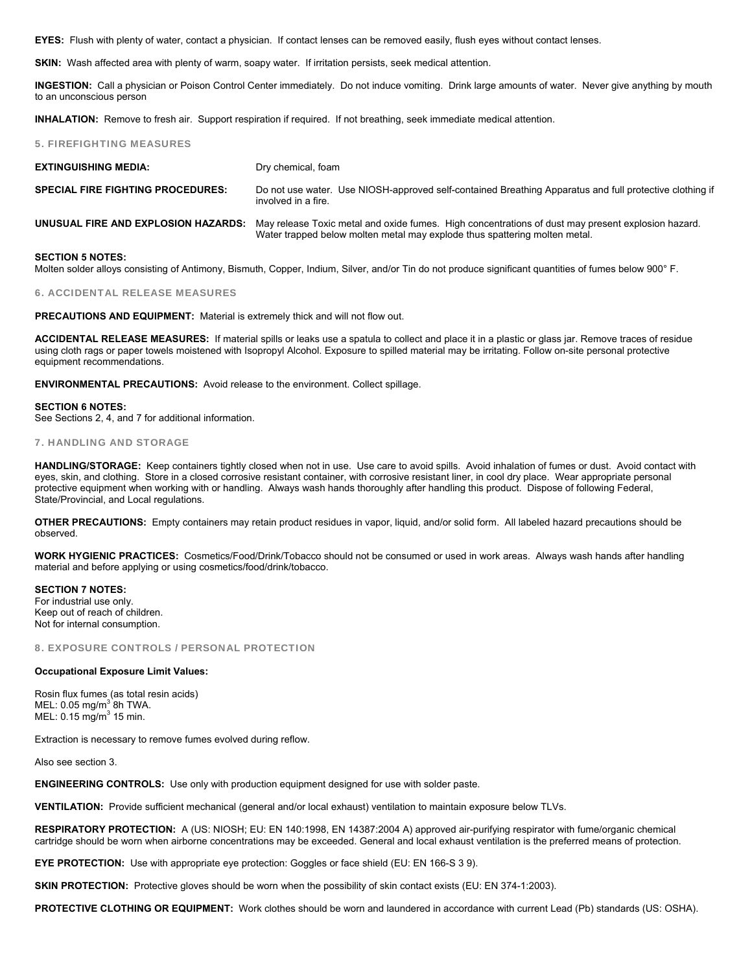**EYES:** Flush with plenty of water, contact a physician. If contact lenses can be removed easily, flush eyes without contact lenses.

**SKIN:** Wash affected area with plenty of warm, soapy water. If irritation persists, seek medical attention.

**INGESTION:** Call a physician or Poison Control Center immediately. Do not induce vomiting. Drink large amounts of water. Never give anything by mouth to an unconscious person

**INHALATION:** Remove to fresh air. Support respiration if required. If not breathing, seek immediate medical attention.

#### 5. FIREFIGHTING MEASURES

| <b>EXTINGUISHING MEDIA:</b>              | Dry chemical, foam                                                                                                                                                                                                          |
|------------------------------------------|-----------------------------------------------------------------------------------------------------------------------------------------------------------------------------------------------------------------------------|
| <b>SPECIAL FIRE FIGHTING PROCEDURES:</b> | Do not use water. Use NIOSH-approved self-contained Breathing Apparatus and full protective clothing if<br>involved in a fire.                                                                                              |
|                                          | <b>UNUSUAL FIRE AND EXPLOSION HAZARDS:</b> May release Toxic metal and oxide fumes. High concentrations of dust may present explosion hazard.<br>Water trapped below molten metal may explode thus spattering molten metal. |

#### **SECTION 5 NOTES:**

Molten solder alloys consisting of Antimony, Bismuth, Copper, Indium, Silver, and/or Tin do not produce significant quantities of fumes below 900° F.

#### 6. ACCIDENTAL RELEASE MEASURES

**PRECAUTIONS AND EQUIPMENT:** Material is extremely thick and will not flow out.

**ACCIDENTAL RELEASE MEASURES:** If material spills or leaks use a spatula to collect and place it in a plastic or glass jar. Remove traces of residue using cloth rags or paper towels moistened with Isopropyl Alcohol. Exposure to spilled material may be irritating. Follow on-site personal protective equipment recommendations.

**ENVIRONMENTAL PRECAUTIONS:** Avoid release to the environment. Collect spillage.

#### **SECTION 6 NOTES:**

See Sections 2, 4, and 7 for additional information.

#### 7. HANDLING AND STORAGE

**HANDLING/STORAGE:** Keep containers tightly closed when not in use. Use care to avoid spills. Avoid inhalation of fumes or dust. Avoid contact with eyes, skin, and clothing. Store in a closed corrosive resistant container, with corrosive resistant liner, in cool dry place. Wear appropriate personal protective equipment when working with or handling. Always wash hands thoroughly after handling this product. Dispose of following Federal, State/Provincial, and Local regulations.

**OTHER PRECAUTIONS:** Empty containers may retain product residues in vapor, liquid, and/or solid form. All labeled hazard precautions should be observed.

**WORK HYGIENIC PRACTICES:** Cosmetics/Food/Drink/Tobacco should not be consumed or used in work areas. Always wash hands after handling material and before applying or using cosmetics/food/drink/tobacco.

**SECTION 7 NOTES:**  For industrial use only. Keep out of reach of children. Not for internal consumption.

8. EXPOSURE CONTROLS / PERSONAL PROTECTION

#### **Occupational Exposure Limit Values:**

Rosin flux fumes (as total resin acids)  $MEL: 0.05$  mg/m<sup>3</sup> 8h TWA.  $MEL: 0.15 mg/m<sup>3</sup> 15 min.$ 

Extraction is necessary to remove fumes evolved during reflow.

Also see section 3.

**ENGINEERING CONTROLS:** Use only with production equipment designed for use with solder paste.

**VENTILATION:** Provide sufficient mechanical (general and/or local exhaust) ventilation to maintain exposure below TLVs.

**RESPIRATORY PROTECTION:** A (US: NIOSH; EU: EN 140:1998, EN 14387:2004 A) approved air-purifying respirator with fume/organic chemical cartridge should be worn when airborne concentrations may be exceeded. General and local exhaust ventilation is the preferred means of protection.

**EYE PROTECTION:** Use with appropriate eye protection: Goggles or face shield (EU: EN 166-S 3 9).

**SKIN PROTECTION:** Protective gloves should be worn when the possibility of skin contact exists (EU: EN 374-1:2003).

**PROTECTIVE CLOTHING OR EQUIPMENT:** Work clothes should be worn and laundered in accordance with current Lead (Pb) standards (US: OSHA).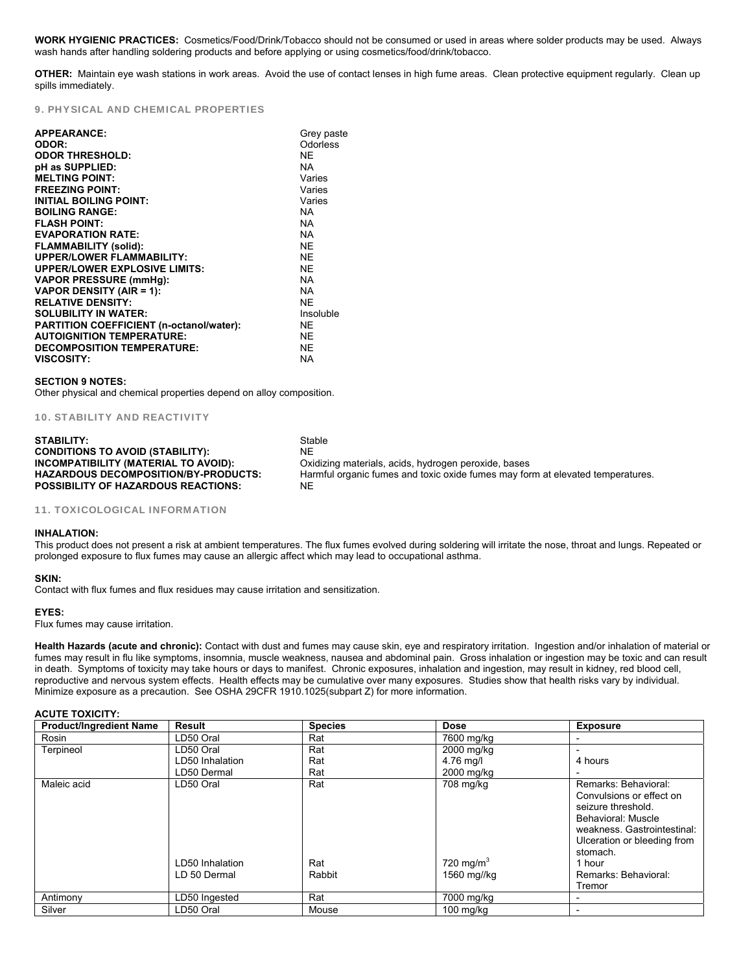**WORK HYGIENIC PRACTICES:** Cosmetics/Food/Drink/Tobacco should not be consumed or used in areas where solder products may be used. Always wash hands after handling soldering products and before applying or using cosmetics/food/drink/tobacco.

**OTHER:** Maintain eye wash stations in work areas. Avoid the use of contact lenses in high fume areas. Clean protective equipment regularly. Clean up spills immediately.

### 9. PHYSICAL AND CHEMICAL PROPERTIES

| <b>APPEARANCE:</b>                       | Grey paste |
|------------------------------------------|------------|
| ODOR:                                    | Odorless   |
| <b>ODOR THRESHOLD:</b>                   | <b>NE</b>  |
| pH as SUPPLIED:                          | <b>NA</b>  |
| <b>MELTING POINT:</b>                    | Varies     |
| <b>FREEZING POINT:</b>                   | Varies     |
| <b>INITIAL BOILING POINT:</b>            | Varies     |
| <b>BOILING RANGE:</b>                    | <b>NA</b>  |
| <b>FLASH POINT:</b>                      | <b>NA</b>  |
| <b>EVAPORATION RATE:</b>                 | <b>NA</b>  |
| <b>FLAMMABILITY (solid):</b>             | <b>NE</b>  |
| <b>UPPER/LOWER FLAMMABILITY:</b>         | <b>NF</b>  |
| <b>UPPER/LOWER EXPLOSIVE LIMITS:</b>     | <b>NF</b>  |
| <b>VAPOR PRESSURE (mmHg):</b>            | <b>NA</b>  |
| <b>VAPOR DENSITY (AIR = 1):</b>          | <b>NA</b>  |
| <b>RELATIVE DENSITY:</b>                 | <b>NF</b>  |
| <b>SOLUBILITY IN WATER:</b>              | Insoluble  |
| PARTITION COEFFICIENT (n-octanol/water): | NE.        |
| <b>AUTOIGNITION TEMPERATURE:</b>         | <b>NE</b>  |
| <b>DECOMPOSITION TEMPERATURE:</b>        | <b>NE</b>  |
| <b>VISCOSITY:</b>                        | NA         |

#### **SECTION 9 NOTES:**

Other physical and chemical properties depend on alloy composition.

10. STABILITY AND REACTIVITY

| STABILITY:                                  | Stable                                                                         |
|---------------------------------------------|--------------------------------------------------------------------------------|
| <b>CONDITIONS TO AVOID (STABILITY):</b>     | NE                                                                             |
| INCOMPATIBILITY (MATERIAL TO AVOID):        | Oxidizing materials, acids, hydrogen peroxide, bases                           |
| <b>HAZARDOUS DECOMPOSITION/BY-PRODUCTS:</b> | Harmful organic fumes and toxic oxide fumes may form at elevated temperatures. |
| <b>POSSIBILITY OF HAZARDOUS REACTIONS:</b>  | NE                                                                             |

#### 11. TOXICOLOGICAL INFORMATION

#### **INHALATION:**

This product does not present a risk at ambient temperatures. The flux fumes evolved during soldering will irritate the nose, throat and lungs. Repeated or prolonged exposure to flux fumes may cause an allergic affect which may lead to occupational asthma.

#### **SKIN:**

Contact with flux fumes and flux residues may cause irritation and sensitization.

#### **EYES:**

Flux fumes may cause irritation.

**Health Hazards (acute and chronic):** Contact with dust and fumes may cause skin, eye and respiratory irritation. Ingestion and/or inhalation of material or fumes may result in flu like symptoms, insomnia, muscle weakness, nausea and abdominal pain. Gross inhalation or ingestion may be toxic and can result in death. Symptoms of toxicity may take hours or days to manifest. Chronic exposures, inhalation and ingestion, may result in kidney, red blood cell, reproductive and nervous system effects. Health effects may be cumulative over many exposures. Studies show that health risks vary by individual. Minimize exposure as a precaution. See OSHA 29CFR 1910.1025(subpart Z) for more information.

#### **ACUTE TOXICITY:**

| <b>Product/Ingredient Name</b> | Result                                       | <b>Species</b>       | <b>Dose</b>                              | <b>Exposure</b>                                                                                                                                                                                                    |
|--------------------------------|----------------------------------------------|----------------------|------------------------------------------|--------------------------------------------------------------------------------------------------------------------------------------------------------------------------------------------------------------------|
| Rosin                          | LD50 Oral                                    | Rat                  | 7600 mg/kg                               |                                                                                                                                                                                                                    |
| Terpineol                      | LD50 Oral                                    | Rat                  | 2000 mg/kg                               |                                                                                                                                                                                                                    |
|                                | LD50 Inhalation                              | Rat                  | 4.76 mg/l                                | 4 hours                                                                                                                                                                                                            |
|                                | LD50 Dermal                                  | Rat                  | 2000 mg/kg                               |                                                                                                                                                                                                                    |
| Maleic acid                    | LD50 Oral<br>LD50 Inhalation<br>LD 50 Dermal | Rat<br>Rat<br>Rabbit | 708 mg/kg<br>720 mg/m $3$<br>1560 mg//kg | Remarks: Behavioral:<br>Convulsions or effect on<br>seizure threshold.<br>Behavioral: Muscle<br>weakness. Gastrointestinal:<br>Ulceration or bleeding from<br>stomach.<br>1 hour<br>Remarks: Behavioral:<br>Tremor |
| Antimony                       | LD50 Ingested                                | Rat                  | 7000 mg/kg                               |                                                                                                                                                                                                                    |
| Silver                         | LD50 Oral                                    | Mouse                | $100$ mg/kg                              |                                                                                                                                                                                                                    |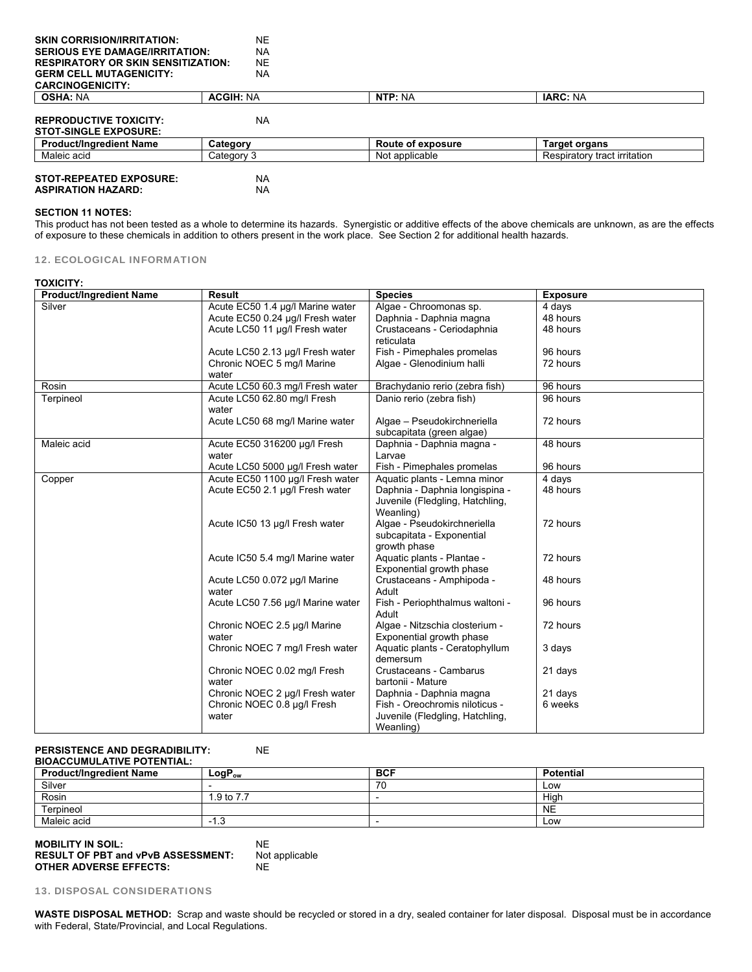| <b>SKIN CORRISION/IRRITATION:</b>         | <b>NE</b>        |                   |                              |
|-------------------------------------------|------------------|-------------------|------------------------------|
| <b>SERIOUS EYE DAMAGE/IRRITATION:</b>     | <b>NA</b>        |                   |                              |
| <b>RESPIRATORY OR SKIN SENSITIZATION:</b> | <b>NE</b>        |                   |                              |
| <b>GERM CELL MUTAGENICITY:</b>            | <b>NA</b>        |                   |                              |
| <b>CARCINOGENICITY:</b>                   |                  |                   |                              |
| <b>OSHA: NA</b>                           | <b>ACGIH: NA</b> | NTP: NA           | <b>IARC: NA</b>              |
|                                           |                  |                   |                              |
| <b>REPRODUCTIVE TOXICITY:</b>             | <b>NA</b>        |                   |                              |
| <b>STOT-SINGLE EXPOSURE:</b>              |                  |                   |                              |
| <b>Product/Ingredient Name</b>            | Category         | Route of exposure | <b>Target organs</b>         |
| Maleic acid                               | Category 3       | Not applicable    | Respiratory tract irritation |
| <b>STOT-REPEATED EXPOSURE:</b>            | <b>NA</b>        |                   |                              |
|                                           |                  |                   |                              |
| <b>ASPIRATION HAZARD:</b>                 | <b>NA</b>        |                   |                              |

#### **SECTION 11 NOTES:**

This product has not been tested as a whole to determine its hazards. Synergistic or additive effects of the above chemicals are unknown, as are the effects of exposure to these chemicals in addition to others present in the work place. See Section 2 for additional health hazards.

| 12. ECOLOGICAL INFORMATION |  |
|----------------------------|--|
|----------------------------|--|

#### **TOXICITY:**

| <b>Product/Ingredient Name</b> | <b>Result</b>                         | <b>Species</b>                                             | <b>Exposure</b> |
|--------------------------------|---------------------------------------|------------------------------------------------------------|-----------------|
| Silver                         | Acute EC50 1.4 µg/l Marine water      | Algae - Chroomonas sp.                                     | 4 days          |
|                                | Acute EC50 0.24 µg/l Fresh water      | Daphnia - Daphnia magna                                    | 48 hours        |
|                                | Acute LC50 11 µg/l Fresh water        | Crustaceans - Ceriodaphnia                                 | 48 hours        |
|                                |                                       | reticulata                                                 |                 |
|                                | Acute LC50 2.13 µg/l Fresh water      | Fish - Pimephales promelas                                 | 96 hours        |
|                                | Chronic NOEC 5 mg/l Marine<br>water   | Algae - Glenodinium halli                                  | 72 hours        |
| Rosin                          | Acute LC50 60.3 mg/l Fresh water      | Brachydanio rerio (zebra fish)                             | 96 hours        |
| Terpineol                      | Acute LC50 62.80 mg/l Fresh<br>water  | Danio rerio (zebra fish)                                   | 96 hours        |
|                                | Acute LC50 68 mg/l Marine water       | Algae - Pseudokirchneriella<br>subcapitata (green algae)   | 72 hours        |
| Maleic acid                    | Acute EC50 316200 µg/l Fresh<br>water | Daphnia - Daphnia magna -<br>Larvae                        | 48 hours        |
|                                | Acute LC50 5000 µg/l Fresh water      | Fish - Pimephales promelas                                 | 96 hours        |
| Copper                         | Acute EC50 1100 µg/l Fresh water      | Aquatic plants - Lemna minor                               | 4 days          |
|                                | Acute EC50 2.1 µg/l Fresh water       | Daphnia - Daphnia longispina -                             | 48 hours        |
|                                |                                       | Juvenile (Fledgling, Hatchling,<br>Weanling)               |                 |
|                                | Acute IC50 13 µg/l Fresh water        | Algae - Pseudokirchneriella                                | 72 hours        |
|                                |                                       | subcapitata - Exponential<br>growth phase                  |                 |
|                                | Acute IC50 5.4 mg/l Marine water      | Aquatic plants - Plantae -                                 | 72 hours        |
|                                |                                       | Exponential growth phase                                   |                 |
|                                | Acute LC50 0.072 µg/l Marine          | Crustaceans - Amphipoda -                                  | 48 hours        |
|                                | water                                 | Adult                                                      |                 |
|                                | Acute LC50 7.56 µg/l Marine water     | Fish - Periophthalmus waltoni -<br>Adult                   | 96 hours        |
|                                | Chronic NOEC 2.5 µg/l Marine<br>water | Algae - Nitzschia closterium -<br>Exponential growth phase | 72 hours        |
|                                | Chronic NOEC 7 mg/l Fresh water       | Aquatic plants - Ceratophyllum<br>demersum                 | 3 days          |
|                                | Chronic NOEC 0.02 mg/l Fresh<br>water | Crustaceans - Cambarus<br>bartonii - Mature                | 21 days         |
|                                | Chronic NOEC 2 µg/l Fresh water       | Daphnia - Daphnia magna                                    | 21 days         |
|                                | Chronic NOEC 0.8 µg/l Fresh           | Fish - Oreochromis niloticus -                             | 6 weeks         |
|                                | water                                 | Juvenile (Fledgling, Hatchling,<br>Weanling)               |                 |

#### **PERSISTENCE AND DEGRADIBILITY:** NE

## **BIOACCUMULATIVE POTENTIAL:**

| <b>Product/Ingredient Name</b> | $LogP_{ow}$ | <b>BCF</b> | Potential |
|--------------------------------|-------------|------------|-----------|
| Silver                         |             | 70<br>7 U  | Low       |
| Rosin                          | 9 to 7.7    |            | Hiah      |
| Terpineol                      |             |            | <b>NE</b> |
| Maleic acid                    | 1.3         |            | Low       |

#### **MOBILITY IN SOIL:** NE NE RESULT OF PBT and vPvB ASSESSMENT: Not applicable **RESULT OF PBT and vPvB ASSESSMENT: OTHER ADVERSE EFFECTS:** NE

13. DISPOSAL CONSIDERATIONS

**WASTE DISPOSAL METHOD:** Scrap and waste should be recycled or stored in a dry, sealed container for later disposal. Disposal must be in accordance with Federal, State/Provincial, and Local Regulations.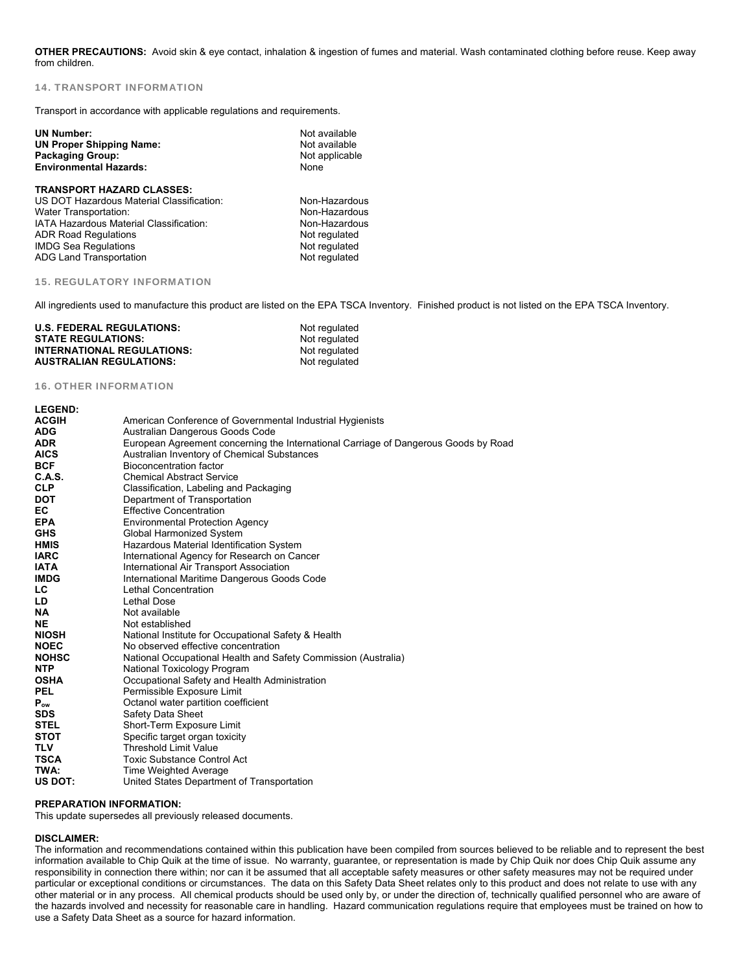**OTHER PRECAUTIONS:** Avoid skin & eye contact, inhalation & ingestion of fumes and material. Wash contaminated clothing before reuse. Keep away from children.

#### 14. TRANSPORT INFORMATION

Transport in accordance with applicable regulations and requirements.

| Not available                   |      |
|---------------------------------|------|
| Not available<br>Not applicable |      |
|                                 | None |
|                                 |      |
|                                 |      |
| Non-Hazardous                   |      |
| Non-Hazardous                   |      |
| Non-Hazardous                   |      |
| Not regulated                   |      |
| Not regulated                   |      |
| Not regulated                   |      |
|                                 |      |

#### 15. REGULATORY INFORMATION

All ingredients used to manufacture this product are listed on the EPA TSCA Inventory. Finished product is not listed on the EPA TSCA Inventory.

| <b>U.S. FEDERAL REGULATIONS:</b>  | Not regulated |
|-----------------------------------|---------------|
| <b>STATE REGULATIONS:</b>         | Not regulated |
| <b>INTERNATIONAL REGULATIONS:</b> | Not regulated |
| <b>AUSTRALIAN REGULATIONS:</b>    | Not regulated |

#### 16. OTHER INFORMATION

| <b>LEGEND:</b> |                                                                                     |
|----------------|-------------------------------------------------------------------------------------|
| <b>ACGIH</b>   | American Conference of Governmental Industrial Hygienists                           |
| <b>ADG</b>     | Australian Dangerous Goods Code                                                     |
| <b>ADR</b>     | European Agreement concerning the International Carriage of Dangerous Goods by Road |
| <b>AICS</b>    | Australian Inventory of Chemical Substances                                         |
| <b>BCF</b>     | Bioconcentration factor                                                             |
| C.A.S.         | <b>Chemical Abstract Service</b>                                                    |
| <b>CLP</b>     | Classification, Labeling and Packaging                                              |
| <b>DOT</b>     | Department of Transportation                                                        |
| EC             | <b>Effective Concentration</b>                                                      |
| <b>EPA</b>     | <b>Environmental Protection Agency</b>                                              |
| <b>GHS</b>     | Global Harmonized System                                                            |
| <b>HMIS</b>    | Hazardous Material Identification System                                            |
| <b>IARC</b>    | International Agency for Research on Cancer                                         |
| <b>IATA</b>    | International Air Transport Association                                             |
| <b>IMDG</b>    | International Maritime Dangerous Goods Code                                         |
| LC.            | Lethal Concentration                                                                |
| LD             | Lethal Dose                                                                         |
| <b>NA</b>      | Not available                                                                       |
| <b>NE</b>      | Not established                                                                     |
| <b>NIOSH</b>   | National Institute for Occupational Safety & Health                                 |
| <b>NOEC</b>    | No observed effective concentration                                                 |
| <b>NOHSC</b>   | National Occupational Health and Safety Commission (Australia)                      |
| <b>NTP</b>     | National Toxicology Program                                                         |
| <b>OSHA</b>    | Occupational Safety and Health Administration                                       |
| <b>PEL</b>     | Permissible Exposure Limit                                                          |
| $P_{ow}$       | Octanol water partition coefficient                                                 |
| SDS.           | Safety Data Sheet                                                                   |
| <b>STEL</b>    | Short-Term Exposure Limit                                                           |
| <b>STOT</b>    | Specific target organ toxicity                                                      |
| <b>TLV</b>     | <b>Threshold Limit Value</b>                                                        |
| <b>TSCA</b>    | Toxic Substance Control Act                                                         |
| TWA:           | Time Weighted Average                                                               |
| US DOT:        | United States Department of Transportation                                          |

#### **PREPARATION INFORMATION:**

This update supersedes all previously released documents.

#### **DISCLAIMER:**

The information and recommendations contained within this publication have been compiled from sources believed to be reliable and to represent the best information available to Chip Quik at the time of issue. No warranty, guarantee, or representation is made by Chip Quik nor does Chip Quik assume any responsibility in connection there within; nor can it be assumed that all acceptable safety measures or other safety measures may not be required under particular or exceptional conditions or circumstances. The data on this Safety Data Sheet relates only to this product and does not relate to use with any other material or in any process. All chemical products should be used only by, or under the direction of, technically qualified personnel who are aware of the hazards involved and necessity for reasonable care in handling. Hazard communication regulations require that employees must be trained on how to use a Safety Data Sheet as a source for hazard information.